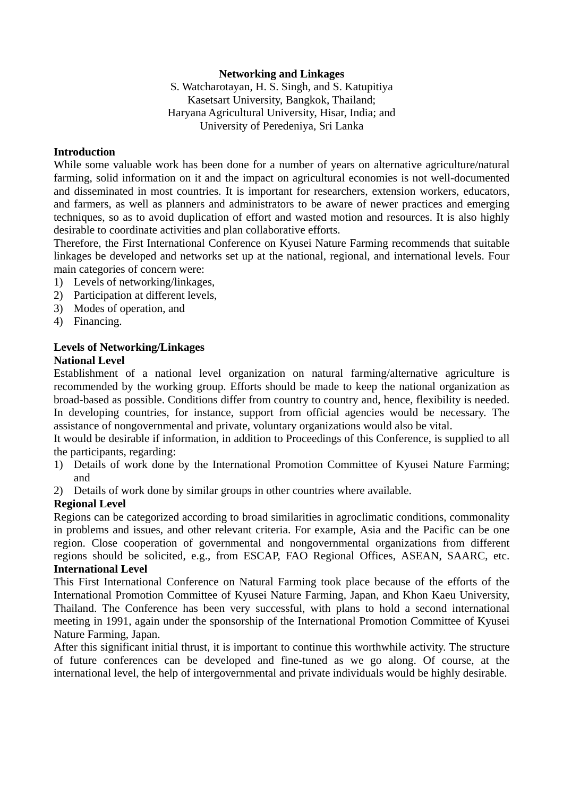## **Networking and Linkages**

S. Watcharotayan, H. S. Singh, and S. Katupitiya Kasetsart University, Bangkok, Thailand; Haryana Agricultural University, Hisar, India; and University of Peredeniya, Sri Lanka

#### **Introduction**

While some valuable work has been done for a number of years on alternative agriculture/natural farming, solid information on it and the impact on agricultural economies is not well-documented and disseminated in most countries. It is important for researchers, extension workers, educators, and farmers, as well as planners and administrators to be aware of newer practices and emerging techniques, so as to avoid duplication of effort and wasted motion and resources. It is also highly desirable to coordinate activities and plan collaborative efforts.

Therefore, the First International Conference on Kyusei Nature Farming recommends that suitable linkages be developed and networks set up at the national, regional, and international levels. Four main categories of concern were:

- 1) Levels of networking/linkages,
- 2) Participation at different levels,
- 3) Modes of operation, and
- 4) Financing.

# **Levels of Networking/Linkages**

#### **National Level**

Establishment of a national level organization on natural farming/alternative agriculture is recommended by the working group. Efforts should be made to keep the national organization as broad-based as possible. Conditions differ from country to country and, hence, flexibility is needed. In developing countries, for instance, support from official agencies would be necessary. The assistance of nongovernmental and private, voluntary organizations would also be vital.

It would be desirable if information, in addition to Proceedings of this Conference, is supplied to all the participants, regarding:

- 1) Details of work done by the International Promotion Committee of Kyusei Nature Farming; and
- 2) Details of work done by similar groups in other countries where available.

## **Regional Level**

Regions can be categorized according to broad similarities in agroclimatic conditions, commonality in problems and issues, and other relevant criteria. For example, Asia and the Pacific can be one region. Close cooperation of governmental and nongovernmental organizations from different regions should be solicited, e.g., from ESCAP, FAO Regional Offices, ASEAN, SAARC, etc. **International Level**

This First International Conference on Natural Farming took place because of the efforts of the International Promotion Committee of Kyusei Nature Farming, Japan, and Khon Kaeu University, Thailand. The Conference has been very successful, with plans to hold a second international meeting in 1991, again under the sponsorship of the International Promotion Committee of Kyusei Nature Farming, Japan.

After this significant initial thrust, it is important to continue this worthwhile activity. The structure of future conferences can be developed and fine-tuned as we go along. Of course, at the international level, the help of intergovernmental and private individuals would be highly desirable.